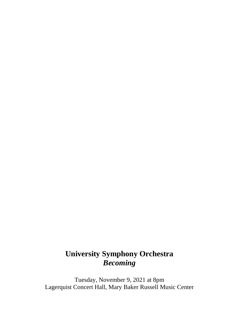# **University Symphony Orchestra** *Becoming*

Tuesday, November 9, 2021 at 8pm Lagerquist Concert Hall, Mary Baker Russell Music Center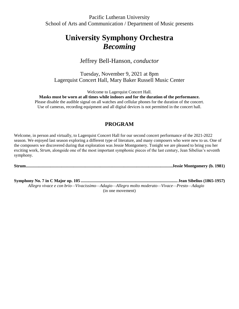Pacific Lutheran University School of Arts and Communication / Department of Music presents

# **University Symphony Orchestra** *Becoming*

## Jeffrey Bell-Hanson, *conductor*

Tuesday, November 9, 2021 at 8pm Lagerquist Concert Hall, Mary Baker Russell Music Center

Welcome to Lagerquist Concert Hall.

**Masks must be worn at all times while indoors and for the duration of the performance.**

Please disable the audible signal on all watches and cellular phones for the duration of the concert. Use of cameras, recording equipment and all digital devices is not permitted in the concert hall.

## **PROGRAM**

Welcome, in person and virtually, to Lagerquist Concert Hall for our second concert performance of the 2021-2022 season. We enjoyed last season exploring a different type of literature, and many composers who were new to us. One of the composers we discovered during that exploration was Jessie Montgomery. Tonight we are pleased to bring you her exciting work, *Strum,* alongside one of the most important symphonic pieces of the last century, Jean Sibelius's seventh symphony.

**Strum........................................................................................................................................Jessie Montgomery (b. 1981)**

**Symphony No. 7 in C Major op. 105 .......................................................................................... Jean Sibelius (1865-1957)** *Allegro vivace e con brio—Vivacissimo—Adagio—Allegro molto moderato—Vivace—Presto—Adagio*  (in one movement)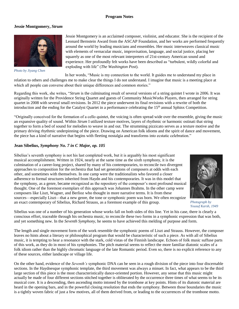### **Program Notes**

#### **Jessie Montgomery,** *Strum*



*Photo by Jiyang Chen*

Jessie Montgomery is an acclaimed composer, violinist, and educator. She is the recipient of the Leonard Bernstein Award from the ASCAP Foundation, and her works are performed frequently around the world by leading musicians and ensembles. Her music interweaves classical music with elements of vernacular music, improvisation, language, and social justice, placing her squarely as one of the most relevant interpreters of 21st-century American sound and experience. Her profoundly felt works have been described as "turbulent, wildly colorful and exploding with life" (*The Washington Post*).

In her words, "Music is my connection to the world. It guides me to understand my place in

relation to others and challenges me to make clear the things I do not understand. I imagine that music is a meeting place at which all people can converse about their unique differences and common stories."

Regarding this work, she writes, "*Strum* is the culminating result of several versions of a string quintet I wrote in 2006. It was originally written for the Providence String Quartet and guests of Community MusicWorks Players, then arranged for string quartet in 2008 with several small revisions. In 2012 the piece underwent its final revisions with a rewrite of both the introduction and the ending for the Catalyst Quartet in a performance celebrating the 15<sup>th</sup> annual Sphinx Competition.

"Originally conceived for the formation of a cello quintet, the voicing is often spread wide over the ensemble, giving the music an expansive quality of sound. Within *Strum* I utilized texture motives, layers of rhythmic or harmonic ostinati that string together to form a bed of sound for melodies to weave in and out. The strumming pizzicato serves as a texture motive and the primary driving rhythmic underpinning of the piece. Drawing on American folk idioms and the spirit of dance and movement, the piece has a kind of narrative that begins with fleeting nostalgia and transforms into ecstatic celebration."

### **Jean Sibelius,** *Symphony No. 7 in C Major, op. 105*

Sibelius's seventh symphony is not his last completed work, but it is arguably his most significant musical accomplishment. Written in 1924, nearly at the same time as the sixth symphony, it is the culmination of a career-long project, shared by many of his contemporaries, to reconcile two divergent approaches to composition for the orchestra that had set generations of composers at odds with each other, and sometimes with themselves. In one camp were the traditionalists who favored a closer adherence to formal structures inherited from Haydn and his contemporaries. It was in this model that the symphony, as a genre, became recognized as the repository of the composer's most profound musical thought. One of the foremost exemplars of this approach was Johannes Brahms. In the other camp were composers like Liszt, Wagner, and Berlioz who thought in more narrative terms. It is from these sources—especially Liszt—that a new genre, the tone or symphonic poem was born. We often recognize an exact contemporary of Sibelius, Richard Strauss, as a foremost example of this group.



*Photograph by Yousuf Karsh, 1949*

Sibelius was one of a number of his generation whose works fall on both sides of this line. Yet in his case, there is clearly a conscious effort, traceable through his orchestra music, to reconcile these two forms in a symphonic expression that was both, and yet something new. In the *Seventh Symphony*, he seems to have achieved this melding of purpose and form.

The length and single movement form of the work resemble the symphonic poems of Liszt and Strauss. However, the composer leaves no hints about a literary or philosophical program that would be characteristic of such a piece. As with all of Sibelius music, it is tempting to hear a resonance with the stark, cold vistas of the Finnish landscape. Echoes of folk music suffuse parts of this work, as they do in most of his symphonies. The pitch material seems to reflect the more familiar diatonic scales of a folk idiom rather than the highly chromatic language of the late Romantic period. Even so, there is no explicit reference to any of these sources, either landscape or village life.

On the other hand, evidence of the *Seventh's* symphonic DNA can be seen in a rough division of the piece into four discernable sections. In the Haydnesque symphonic template, the third movement was always a minuet. In fact, what appears to be the third large section of this piece is the most characteristically dance-oriented portion. However, any sense that this music might actually be made of four different sections stitched together is obliterated by the occurrence three times of what seems to be its musical core. It is a descending, then ascending motto intoned by the trombone at key points. Hints of its diatonic material are heard in the opening bars, and in the powerful closing resolution that ends the symphony. Between those boundaries the music is a tightly woven fabric of just a few motives, all of them derived from, or leading to the occurrences of the trombone motto.